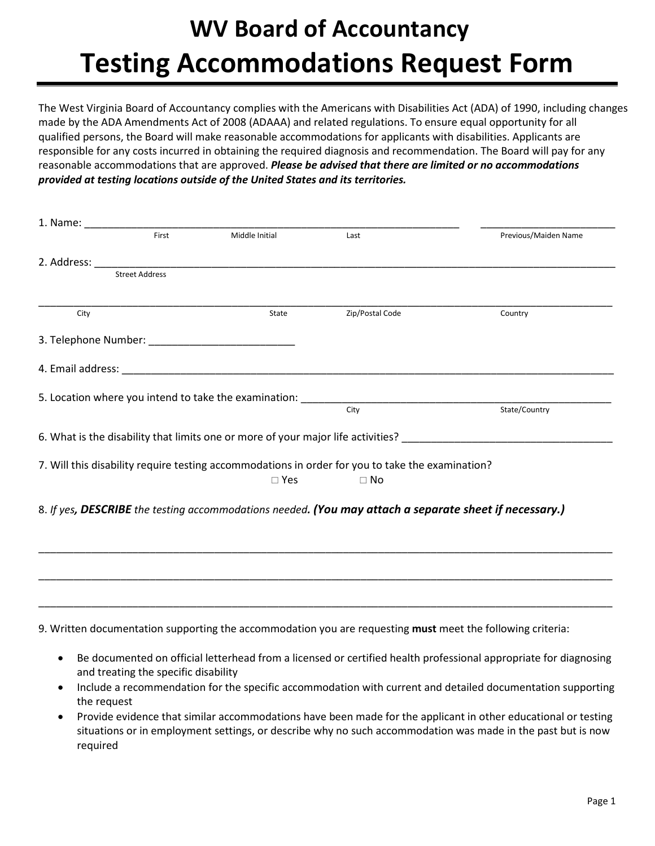## **WV Board of Accountancy Testing Accommodations Request Form**

The West Virginia Board of Accountancy complies with the Americans with Disabilities Act (ADA) of 1990, including changes made by the ADA Amendments Act of 2008 (ADAAA) and related regulations. To ensure equal opportunity for all qualified persons, the Board will make reasonable accommodations for applicants with disabilities. Applicants are responsible for any costs incurred in obtaining the required diagnosis and recommendation. The Board will pay for any reasonable accommodations that are approved. *Please be advised that there are limited or no accommodations provided at testing locations outside of the United States and its territories.*

|      | First                 | Middle Initial                                                                                                                                                                                                                 | Last                                                                                                           | Previous/Maiden Name |
|------|-----------------------|--------------------------------------------------------------------------------------------------------------------------------------------------------------------------------------------------------------------------------|----------------------------------------------------------------------------------------------------------------|----------------------|
|      |                       | 2. Address: and the state of the state of the state of the state of the state of the state of the state of the state of the state of the state of the state of the state of the state of the state of the state of the state o |                                                                                                                |                      |
|      | <b>Street Address</b> |                                                                                                                                                                                                                                |                                                                                                                |                      |
| City |                       | State                                                                                                                                                                                                                          | Zip/Postal Code                                                                                                | Country              |
|      |                       |                                                                                                                                                                                                                                |                                                                                                                |                      |
|      |                       |                                                                                                                                                                                                                                |                                                                                                                |                      |
|      |                       |                                                                                                                                                                                                                                | 5. Location where you intend to take the examination: __________________________                               |                      |
|      |                       |                                                                                                                                                                                                                                | City                                                                                                           | State/Country        |
|      |                       |                                                                                                                                                                                                                                | 6. What is the disability that limits one or more of your major life activities? _____________________________ |                      |
|      |                       |                                                                                                                                                                                                                                | 7. Will this disability require testing accommodations in order for you to take the examination?               |                      |
|      |                       | $\square$ Yes                                                                                                                                                                                                                  | $\Box$ No                                                                                                      |                      |
|      |                       |                                                                                                                                                                                                                                |                                                                                                                |                      |
|      |                       |                                                                                                                                                                                                                                | 8. If yes, DESCRIBE the testing accommodations needed. (You may attach a separate sheet if necessary.)         |                      |
|      |                       |                                                                                                                                                                                                                                |                                                                                                                |                      |
|      |                       |                                                                                                                                                                                                                                |                                                                                                                |                      |
|      |                       |                                                                                                                                                                                                                                |                                                                                                                |                      |
|      |                       |                                                                                                                                                                                                                                |                                                                                                                |                      |
|      |                       |                                                                                                                                                                                                                                |                                                                                                                |                      |
|      |                       |                                                                                                                                                                                                                                | 9. Written documentation supporting the accommodation you are requesting must meet the following criteria:     |                      |

- Be documented on official letterhead from a licensed or certified health professional appropriate for diagnosing and treating the specific disability
- Include a recommendation for the specific accommodation with current and detailed documentation supporting the request
- Provide evidence that similar accommodations have been made for the applicant in other educational or testing situations or in employment settings, or describe why no such accommodation was made in the past but is now required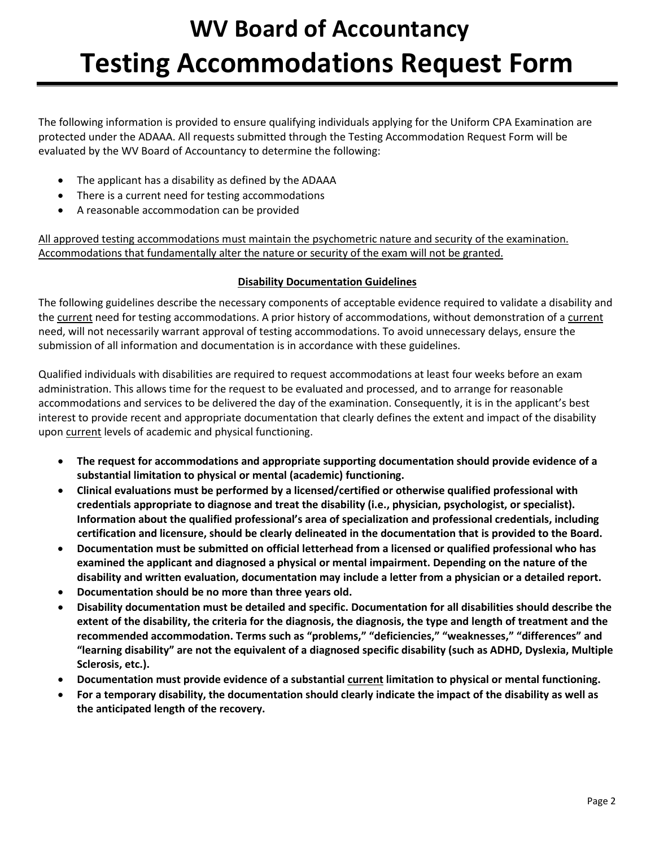# **WV Board of Accountancy Testing Accommodations Request Form**

The following information is provided to ensure qualifying individuals applying for the Uniform CPA Examination are protected under the ADAAA. All requests submitted through the Testing Accommodation Request Form will be evaluated by the WV Board of Accountancy to determine the following:

- The applicant has a disability as defined by the ADAAA
- There is a current need for testing accommodations
- A reasonable accommodation can be provided

All approved testing accommodations must maintain the psychometric nature and security of the examination. Accommodations that fundamentally alter the nature or security of the exam will not be granted.

### **Disability Documentation Guidelines**

The following guidelines describe the necessary components of acceptable evidence required to validate a disability and the current need for testing accommodations. A prior history of accommodations, without demonstration of a current need, will not necessarily warrant approval of testing accommodations. To avoid unnecessary delays, ensure the submission of all information and documentation is in accordance with these guidelines.

Qualified individuals with disabilities are required to request accommodations at least four weeks before an exam administration. This allows time for the request to be evaluated and processed, and to arrange for reasonable accommodations and services to be delivered the day of the examination. Consequently, it is in the applicant's best interest to provide recent and appropriate documentation that clearly defines the extent and impact of the disability upon current levels of academic and physical functioning.

- **The request for accommodations and appropriate supporting documentation should provide evidence of a substantial limitation to physical or mental (academic) functioning.**
- **Clinical evaluations must be performed by a licensed/certified or otherwise qualified professional with credentials appropriate to diagnose and treat the disability (i.e., physician, psychologist, or specialist). Information about the qualified professional's area of specialization and professional credentials, including certification and licensure, should be clearly delineated in the documentation that is provided to the Board.**
- **Documentation must be submitted on official letterhead from a licensed or qualified professional who has examined the applicant and diagnosed a physical or mental impairment. Depending on the nature of the disability and written evaluation, documentation may include a letter from a physician or a detailed report.**
- **Documentation should be no more than three years old.**
- **Disability documentation must be detailed and specific. Documentation for all disabilities should describe the extent of the disability, the criteria for the diagnosis, the diagnosis, the type and length of treatment and the recommended accommodation. Terms such as "problems," "deficiencies," "weaknesses," "differences" and "learning disability" are not the equivalent of a diagnosed specific disability (such as ADHD, Dyslexia, Multiple Sclerosis, etc.).**
- **Documentation must provide evidence of a substantial current limitation to physical or mental functioning.**
- **For a temporary disability, the documentation should clearly indicate the impact of the disability as well as the anticipated length of the recovery.**